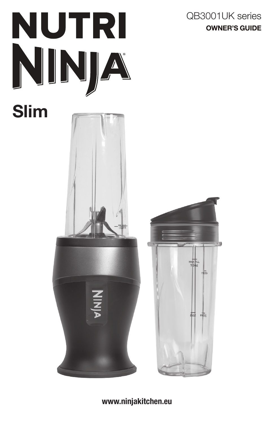



www.ninjakitchen.eu

 $rac{Z}{Z}$ 

OWNER'S GUIDE QB3001UK series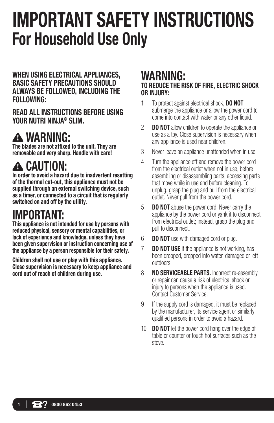# IMPORTANT SAFETY INSTRUCTIONS For Household Use Only

WHEN USING ELECTRICAL APPLIANCES, BASIC SAFETY PRECAUTIONS SHOULD ALWAYS BE FOLLOWED, INCLUDING THE FOLLOWING:

READ ALL INSTRUCTIONS BEFORE USING YOUR NUTRI NINJA® SLIM.

# WARNING:

The blades are not affixed to the unit. They are removable and very sharp. Handle with care!

# **A CAUTION:**

In order to avoid a hazard due to inadvertent resetting of the thermal cut-out, this appliance must not be supplied through an external switching device, such as a timer, or connected to a circuit that is regularly switched on and off by the utility.

# IMPORTANT:

This appliance is not intended for use by persons with reduced physical, sensory or mental capabilities, or lack of experience and knowledge, unless they have been given supervision or instruction concerning use of the appliance by a person responsible for their safety.

Children shall not use or play with this appliance. Close supervision is necessary to keep appliance and cord out of reach of children during use.

# WARNING:

## TO REDUCE THE RISK OF FIRE, ELECTRIC SHOCK OR INJURY:

- 1 To protect against electrical shock, **DO NOT** submerge the appliance or allow the power cord to come into contact with water or any other liquid.
- 2 **DO NOT** allow children to operate the appliance or use as a toy. Close supervision is necessary when any appliance is used near children.
- 3 Never leave an appliance unattended when in use.
- 4 Turn the appliance off and remove the power cord from the electrical outlet when not in use, before assembling or disassembling parts, accessing parts that move while in use and before cleaning. To unplug, grasp the plug and pull from the electrical outlet. Never pull from the power cord.
- 5 **DO NOT** abuse the power cord. Never carry the appliance by the power cord or yank it to disconnect from electrical outlet; instead, grasp the plug and pull to disconnect.
- 6 DO NOT use with damaged cord or plug.
- **7 DO NOT USE** if the appliance is not working, has been dropped, dropped into water, damaged or left outdoors.
- 8 **NO SERVICEABLE PARTS.** Incorrect re-assembly or repair can cause a risk of electrical shock or injury to persons when the appliance is used. Contact Customer Service.
- 9 If the supply cord is damaged, it must be replaced by the manufacturer, its service agent or similarly qualified persons in order to avoid a hazard.
- 10 **DO NOT** let the power cord hang over the edge of table or counter or touch hot surfaces such as the stove.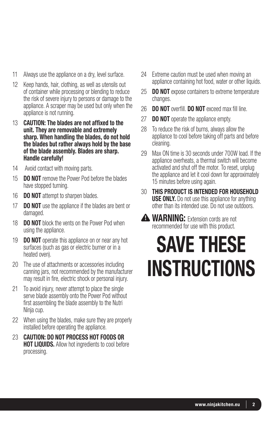- 11 Always use the appliance on a dry, level surface.
- 12 Keep hands, hair, clothing, as well as utensils out of container while processing or blending to reduce the risk of severe injury to persons or damage to the appliance. A scraper may be used but only when the appliance is not running.
- 13 CAUTION: The blades are not affixed to the unit. They are removable and extremely sharp. When handling the blades, do not hold the blades but rather always hold by the base of the blade assembly. Blades are sharp. Handle carefully!
- 14 Avoid contact with moving parts.
- 15 **DO NOT** remove the Power Pod before the blades have stopped turning.
- 16 **DO NOT** attempt to sharpen blades.
- 17 **DO NOT** use the appliance if the blades are bent or damaged.
- 18 **DO NOT** block the vents on the Power Pod when using the appliance.
- 19 **DO NOT** operate this appliance on or near any hot surfaces (such as gas or electric burner or in a heated oven).
- 20 The use of attachments or accessories including canning jars, not recommended by the manufacturer may result in fire, electric shock or personal injury.
- 21 To avoid injury, never attempt to place the single serve blade assembly onto the Power Pod without first assembling the blade assembly to the Nutri Ninja cup.
- 22 When using the blades, make sure they are properly installed before operating the appliance.
- 23 CAUTION: DO NOT PROCESS HOT FOODS OR **HOT LIQUIDS.** Allow hot ingredients to cool before processing.
- 24 Extreme caution must be used when moving an appliance containing hot food, water or other liquids.
- 25 **DO NOT** expose containers to extreme temperature changes.
- 26 **DO NOT** overfill. **DO NOT** exceed max fill line.
- 27 **DO NOT** operate the appliance empty.
- 28 To reduce the risk of burns, always allow the appliance to cool before taking off parts and before cleaning.
- 29 Max ON time is 30 seconds under 700W load. If the appliance overheats, a thermal switch will become activated and shut off the motor. To reset, unplug the appliance and let it cool down for approximately 15 minutes before using again.
- 30 THIS PRODUCT IS INTENDED FOR HOUSEHOLD **USE ONLY.** Do not use this appliance for anything other than its intended use. Do not use outdoors.
- WARNING: Extension cords are not recommended for use with this product.

# SAVE THESE **INSTRUCTIONS**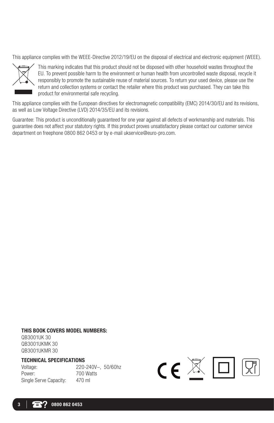This appliance complies with the WEEE-Directive 2012/19/EU on the disposal of electrical and electronic equipment (WEEE).



This marking indicates that this product should not be disposed with other household wastes throughout the EU. To prevent possible harm to the environment or human health from uncontrolled waste disposal, recycle it responsibly to promote the sustainable reuse of material sources. To return your used device, please use the return and collection systems or contact the retailer where this product was purchased. They can take this product for environmental safe recycling.

This appliance complies with the European directives for electromagnetic compatibility (EMC) 2014/30/EU and its revisions, as well as Low Voltage Directive (LVD) 2014/35/EU and its revisions.

Guarantee: This product is unconditionally guaranteed for one year against all defects of workmanship and materials. This guarantee does not affect your statutory rights. If this product proves unsatisfactory please contact our customer service department on freephone 0800 862 0453 or by e-mail ukservice@euro-pro.com.

#### THIS BOOK COVERS MODEL NUMBERS:

QB3001UK 30 QB3001UKMK 30 QB3001UKMR 30

#### TECHNICAL SPECIFICATIONS

Power: 700 Watts Single Serve Capacity: 470 ml

Voltage: 220-240V~, 50/60hz

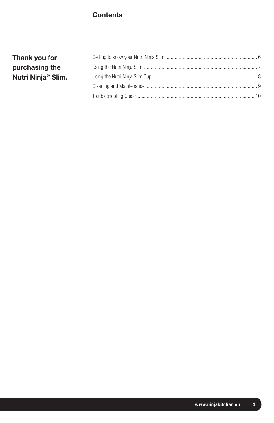### **Contents**

| Thank you for                  |  |
|--------------------------------|--|
| purchasing the                 |  |
| Nutri Ninja <sup>®</sup> Slim. |  |
|                                |  |
|                                |  |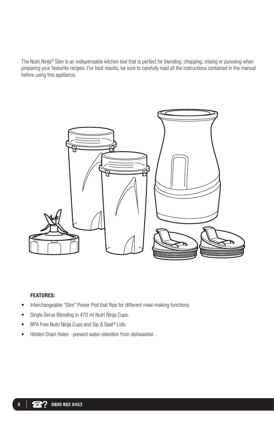The Nutri Ninja® Slim is an indispensable kitchen tool that is perfect for blending, chopping, mixing or pureeing when preparing your favourite recipes. For best results, be sure to carefully read all the instructions contained in the manual before using this appliance.



#### FEATURES:

- Interchangeable "Slim" Power Pod that flips for different meal-making functions.
- Single Serve Blending in 470 ml Nutri Ninja Cups.
- BPA Free Nutri Ninja Cups and Sip & Seal<sup>®</sup> Lids.
- Hidden Drain Holes prevent water retention from dishwasher.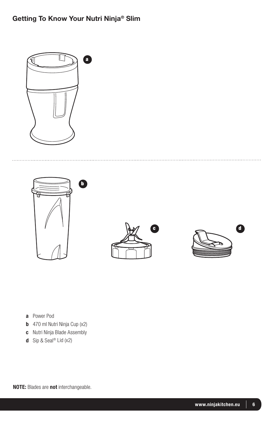# Getting To Know Your Nutri Ninja® Slim



. . . . . . . . . . . .







- a Power Pod
- **b** 470 ml Nutri Ninja Cup (x2)
- c Nutri Ninja Blade Assembly
- d Sip & Seal® Lid (x2)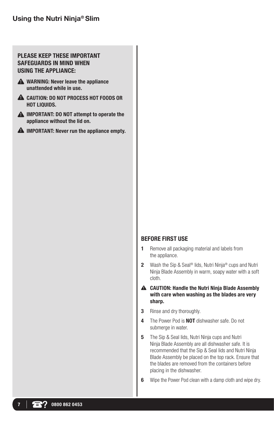### Using the Nutri Ninja® Slim

#### PLEASE KEEP THESE IMPORTANT SAFEGUARDS IN MIND WHEN USING THE APPLIANCE:

- A WARNING: Never leave the appliance unattended while in use.
- **A** CAUTION: DO NOT PROCESS HOT FOODS OR HOT LIQUIDS.
- **A** IMPORTANT: DO NOT attempt to operate the appliance without the lid on.
- $\triangle$  IMPORTANT: Never run the appliance empty.

#### BEFORE FIRST USE

- 1 Remove all packaging material and labels from the appliance.
- 2 Wash the Sip & Seal<sup>®</sup> lids, Nutri Ninja<sup>®</sup> cups and Nutri Ninja Blade Assembly in warm, soapy water with a soft cloth.
- CAUTION: Handle the Nutri Ninja Blade Assembly with care when washing as the blades are very sharp.
- 3 Rinse and dry thoroughly.
- 4 The Power Pod is **NOT** dishwasher safe. Do not submerge in water.
- 5 The Sip & Seal lids, Nutri Ninja cups and Nutri Ninja Blade Assembly are all dishwasher safe. It is recommended that the Sip & Seal lids and Nutri Ninja Blade Assembly be placed on the top rack. Ensure that the blades are removed from the containers before placing in the dishwasher.
- **6** Wipe the Power Pod clean with a damp cloth and wipe dry.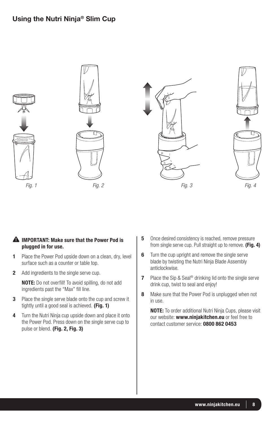### Using the Nutri Ninja® Slim Cup



#### **A** IMPORTANT: Make sure that the Power Pod is plugged in for use.

- 1 Place the Power Pod upside down on a clean, dry, level surface such as a counter or table top.
- 2 Add ingredients to the single serve cup.

NOTE: Do not overfill! To avoid spilling, do not add ingredients past the "Max" fill line.

- **3** Place the single serve blade onto the cup and screw it tightly until a good seal is achieved. (Fig. 1)
- 4 Turn the Nutri Ninja cup upside down and place it onto the Power Pod. Press down on the single serve cup to pulse or blend. (Fig. 2, Fig. 3)
- 5 Once desired consistency is reached, remove pressure from single serve cup. Pull straight up to remove. (Fig. 4)
- **6** Turn the cup upright and remove the single serve blade by twisting the Nutri Ninja Blade Assembly anticlockwise.
- 7 Place the Sip & Seal<sup>®</sup> drinking lid onto the single serve drink cup, twist to seal and enjoy!
- 8 Make sure that the Power Pod is unplugged when not in use.

NOTE: To order additional Nutri Ninja Cups, please visit our website: www.ninjakitchen.eu or feel free to contact customer service: 0800 862 0453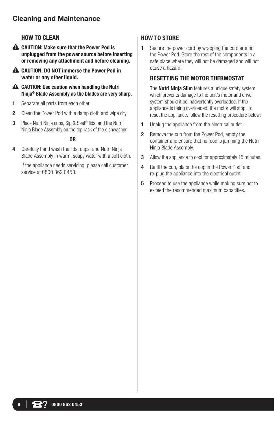### Cleaning and Maintenance

#### HOW TO CLEAN

- **A** CAUTION: Make sure that the Power Pod is unplugged from the power source before inserting or removing any attachment and before cleaning.
- CAUTION: DO NOT immerse the Power Pod in water or any other liquid.
- **A** CAUTION: Use caution when handling the Nutri Ninja® Blade Assembly as the blades are very sharp.
- 1 Separate all parts from each other.
- **2** Clean the Power Pod with a damp cloth and wipe dry.
- 3 Place Nutri Ninja cups, Sip & Seal<sup>®</sup> lids, and the Nutri Ninja Blade Assembly on the top rack of the dishwasher.

#### OR

4 Carefully hand wash the lids, cups, and Nutri Ninja Blade Assembly in warm, soapy water with a soft cloth.

If the appliance needs servicing, please call customer service at 0800 862 0453.

#### HOW TO STORE

**1** Secure the power cord by wrapping the cord around the Power Pod. Store the rest of the components in a safe place where they will not be damaged and will not cause a hazard.

#### RESETTING THE MOTOR THERMOSTAT

The **Nutri Ninia Slim** features a unique safety system which prevents damage to the unit's motor and drive system should it be inadvertently overloaded. If the appliance is being overloaded, the motor will stop. To reset the appliance, follow the resetting procedure below:

- 1 Unplug the appliance from the electrical outlet.
- 2 Remove the cup from the Power Pod, empty the container and ensure that no food is jamming the Nutri Ninja Blade Assembly.
- **3** Allow the appliance to cool for approximately 15 minutes.
- 4 Refill the cup, place the cup in the Power Pod, and re-plug the appliance into the electrical outlet.
- **5** Proceed to use the appliance while making sure not to exceed the recommended maximum capacities.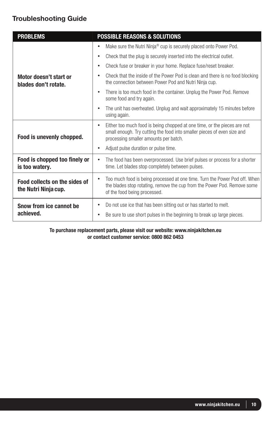## Troubleshooting Guide

| <b>PROBLEMS</b>                                       | <b>POSSIBLE REASONS &amp; SOLUTIONS</b>                                                                                                                                                                   |
|-------------------------------------------------------|-----------------------------------------------------------------------------------------------------------------------------------------------------------------------------------------------------------|
| Motor doesn't start or<br>blades don't rotate.        | Make sure the Nutri Ninja® cup is securely placed onto Power Pod.<br>٠                                                                                                                                    |
|                                                       | Check that the plug is securely inserted into the electrical outlet.<br>٠                                                                                                                                 |
|                                                       | Check fuse or breaker in your home. Replace fuse/reset breaker.<br>$\bullet$                                                                                                                              |
|                                                       | Check that the inside of the Power Pod is clean and there is no food blocking<br>٠<br>the connection between Power Pod and Nutri Ninja cup.                                                               |
|                                                       | There is too much food in the container. Unplug the Power Pod. Remove<br>some food and try again.                                                                                                         |
|                                                       | The unit has overheated. Unplug and wait approximately 15 minutes before<br>$\bullet$<br>using again.                                                                                                     |
| Food is unevenly chopped.                             | Either too much food is being chopped at one time, or the pieces are not<br>$\bullet$<br>small enough. Try cutting the food into smaller pieces of even size and<br>processing smaller amounts per batch. |
|                                                       | Adjust pulse duration or pulse time.                                                                                                                                                                      |
| Food is chopped too finely or<br>is too watery.       | The food has been overprocessed. Use brief pulses or process for a shorter<br>time. Let blades stop completely between pulses.                                                                            |
| Food collects on the sides of<br>the Nutri Ninja cup. | Too much food is being processed at one time. Turn the Power Pod off. When<br>the blades stop rotating, remove the cup from the Power Pod. Remove some<br>of the food being processed.                    |
| Snow from ice cannot be<br>achieved.                  | Do not use ice that has been sitting out or has started to melt.                                                                                                                                          |
|                                                       | Be sure to use short pulses in the beginning to break up large pieces.<br>$\bullet$                                                                                                                       |

#### To purchase replacement parts, please visit our website: www.ninjakitchen.eu or contact customer service: 0800 862 0453